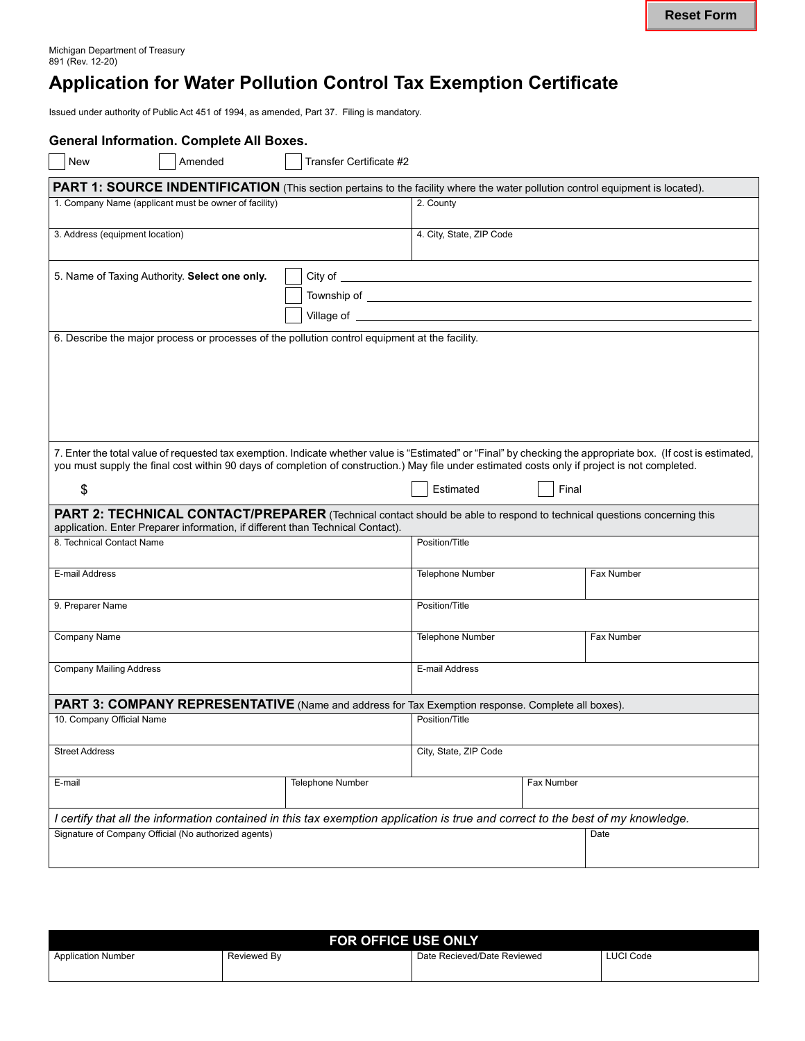# **Application for Water Pollution Control Tax Exemption Certificate**

Issued under authority of Public Act 451 of 1994, as amended, Part 37. Filing is mandatory.

| New<br>Amended                                                                                                                                                                                                                                                                                                  | Transfer Certificate #2 |                                                                                                                                                                                                                                      |            |            |  |
|-----------------------------------------------------------------------------------------------------------------------------------------------------------------------------------------------------------------------------------------------------------------------------------------------------------------|-------------------------|--------------------------------------------------------------------------------------------------------------------------------------------------------------------------------------------------------------------------------------|------------|------------|--|
| PART 1: SOURCE INDENTIFICATION (This section pertains to the facility where the water pollution control equipment is located).                                                                                                                                                                                  |                         |                                                                                                                                                                                                                                      |            |            |  |
| 1. Company Name (applicant must be owner of facility)                                                                                                                                                                                                                                                           |                         | 2. County                                                                                                                                                                                                                            |            |            |  |
|                                                                                                                                                                                                                                                                                                                 |                         |                                                                                                                                                                                                                                      |            |            |  |
| 3. Address (equipment location)                                                                                                                                                                                                                                                                                 |                         | 4. City, State, ZIP Code                                                                                                                                                                                                             |            |            |  |
|                                                                                                                                                                                                                                                                                                                 |                         |                                                                                                                                                                                                                                      |            |            |  |
| 5. Name of Taxing Authority. Select one only.                                                                                                                                                                                                                                                                   |                         |                                                                                                                                                                                                                                      |            |            |  |
|                                                                                                                                                                                                                                                                                                                 |                         | Village of <u>the contract of the contract of the contract of the contract of the contract of the contract of the contract of the contract of the contract of the contract of the contract of the contract of the contract of th</u> |            |            |  |
| 6. Describe the major process or processes of the pollution control equipment at the facility.                                                                                                                                                                                                                  |                         |                                                                                                                                                                                                                                      |            |            |  |
|                                                                                                                                                                                                                                                                                                                 |                         |                                                                                                                                                                                                                                      |            |            |  |
|                                                                                                                                                                                                                                                                                                                 |                         |                                                                                                                                                                                                                                      |            |            |  |
|                                                                                                                                                                                                                                                                                                                 |                         |                                                                                                                                                                                                                                      |            |            |  |
|                                                                                                                                                                                                                                                                                                                 |                         |                                                                                                                                                                                                                                      |            |            |  |
|                                                                                                                                                                                                                                                                                                                 |                         |                                                                                                                                                                                                                                      |            |            |  |
| 7. Enter the total value of requested tax exemption. Indicate whether value is "Estimated" or "Final" by checking the appropriate box. (If cost is estimated,<br>you must supply the final cost within 90 days of completion of construction.) May file under estimated costs only if project is not completed. |                         |                                                                                                                                                                                                                                      |            |            |  |
| \$                                                                                                                                                                                                                                                                                                              |                         | Estimated                                                                                                                                                                                                                            | Final      |            |  |
| PART 2: TECHNICAL CONTACT/PREPARER (Technical contact should be able to respond to technical questions concerning this                                                                                                                                                                                          |                         |                                                                                                                                                                                                                                      |            |            |  |
| application. Enter Preparer information, if different than Technical Contact).                                                                                                                                                                                                                                  |                         |                                                                                                                                                                                                                                      |            |            |  |
| 8. Technical Contact Name                                                                                                                                                                                                                                                                                       |                         | Position/Title                                                                                                                                                                                                                       |            |            |  |
| E-mail Address                                                                                                                                                                                                                                                                                                  |                         | Telephone Number                                                                                                                                                                                                                     |            | Fax Number |  |
|                                                                                                                                                                                                                                                                                                                 |                         |                                                                                                                                                                                                                                      |            |            |  |
| 9. Preparer Name                                                                                                                                                                                                                                                                                                |                         | Position/Title                                                                                                                                                                                                                       |            |            |  |
| Company Name                                                                                                                                                                                                                                                                                                    |                         | Telephone Number                                                                                                                                                                                                                     |            | Fax Number |  |
|                                                                                                                                                                                                                                                                                                                 |                         |                                                                                                                                                                                                                                      |            |            |  |
| <b>Company Mailing Address</b>                                                                                                                                                                                                                                                                                  |                         | E-mail Address                                                                                                                                                                                                                       |            |            |  |
| PART 3: COMPANY REPRESENTATIVE (Name and address for Tax Exemption response. Complete all boxes).                                                                                                                                                                                                               |                         |                                                                                                                                                                                                                                      |            |            |  |
| 10. Company Official Name                                                                                                                                                                                                                                                                                       |                         | Position/Title                                                                                                                                                                                                                       |            |            |  |
| <b>Street Address</b>                                                                                                                                                                                                                                                                                           |                         | City, State, ZIP Code                                                                                                                                                                                                                |            |            |  |
|                                                                                                                                                                                                                                                                                                                 |                         |                                                                                                                                                                                                                                      |            |            |  |
| E-mail                                                                                                                                                                                                                                                                                                          | <b>Telephone Number</b> |                                                                                                                                                                                                                                      | Fax Number |            |  |
|                                                                                                                                                                                                                                                                                                                 |                         |                                                                                                                                                                                                                                      |            |            |  |
| I certify that all the information contained in this tax exemption application is true and correct to the best of my knowledge.                                                                                                                                                                                 |                         |                                                                                                                                                                                                                                      |            |            |  |
| Signature of Company Official (No authorized agents)                                                                                                                                                                                                                                                            |                         |                                                                                                                                                                                                                                      |            | Date       |  |
|                                                                                                                                                                                                                                                                                                                 |                         |                                                                                                                                                                                                                                      |            |            |  |

| <b>FOR OFFICE USE ONLY</b> |             |                             |                  |  |  |
|----------------------------|-------------|-----------------------------|------------------|--|--|
| <b>Application Number</b>  | Reviewed By | Date Recieved/Date Reviewed | <b>LUCI Code</b> |  |  |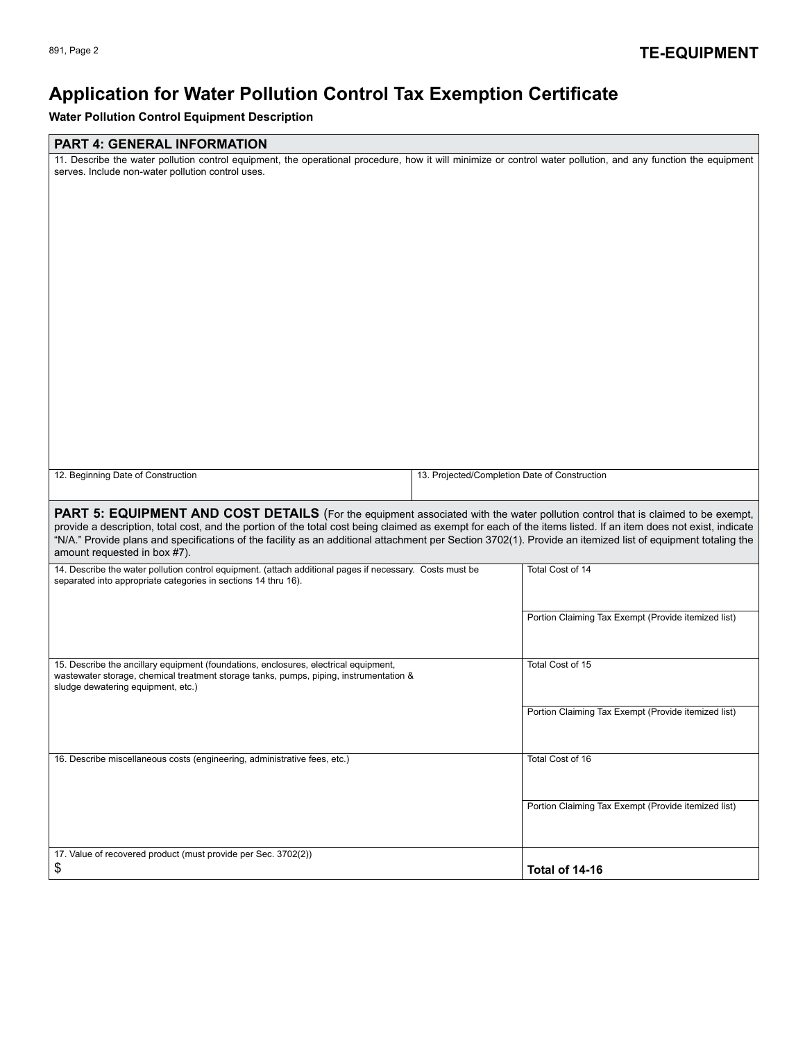## **Application for Water Pollution Control Tax Exemption Certificate**

**Water Pollution Control Equipment Description**

## **PART 4: GENERAL INFORMATION**

| 12. Beginning Date of Construction<br>13. Projected/Completion Date of Construction                                                                                                                                                                                                                                                                                                                                                                                                                     |  |  |  |  |  |
|---------------------------------------------------------------------------------------------------------------------------------------------------------------------------------------------------------------------------------------------------------------------------------------------------------------------------------------------------------------------------------------------------------------------------------------------------------------------------------------------------------|--|--|--|--|--|
| <b>PART 5: EQUIPMENT AND COST DETAILS</b> (For the equipment associated with the water pollution control that is claimed to be exempt,<br>provide a description, total cost, and the portion of the total cost being claimed as exempt for each of the items listed. If an item does not exist, indicate<br>"N/A." Provide plans and specifications of the facility as an additional attachment per Section 3702(1). Provide an itemized list of equipment totaling the<br>amount requested in box #7). |  |  |  |  |  |
| 14. Describe the water pollution control equipment. (attach additional pages if necessary. Costs must be<br>Total Cost of 14<br>separated into appropriate categories in sections 14 thru 16).                                                                                                                                                                                                                                                                                                          |  |  |  |  |  |
| Portion Claiming Tax Exempt (Provide itemized list)                                                                                                                                                                                                                                                                                                                                                                                                                                                     |  |  |  |  |  |
| Total Cost of 15<br>15. Describe the ancillary equipment (foundations, enclosures, electrical equipment,<br>wastewater storage, chemical treatment storage tanks, pumps, piping, instrumentation &<br>sludge dewatering equipment, etc.)                                                                                                                                                                                                                                                                |  |  |  |  |  |
| Portion Claiming Tax Exempt (Provide itemized list)                                                                                                                                                                                                                                                                                                                                                                                                                                                     |  |  |  |  |  |
| 16. Describe miscellaneous costs (engineering, administrative fees, etc.)<br>Total Cost of 16                                                                                                                                                                                                                                                                                                                                                                                                           |  |  |  |  |  |
| Portion Claiming Tax Exempt (Provide itemized list)                                                                                                                                                                                                                                                                                                                                                                                                                                                     |  |  |  |  |  |
| 17. Value of recovered product (must provide per Sec. 3702(2))<br>\$<br>Total of 14-16                                                                                                                                                                                                                                                                                                                                                                                                                  |  |  |  |  |  |